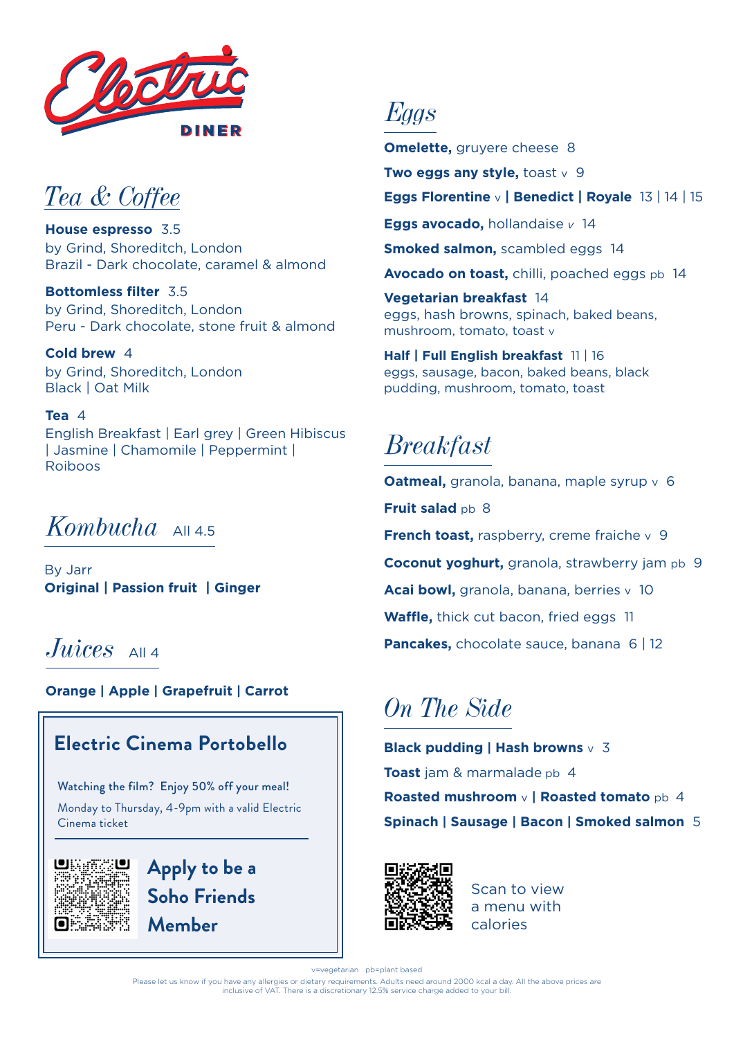

## *Tea & Coffee*

**House espresso** 3.5 by Grind, Shoreditch, London Brazil - Dark chocolate, caramel & almond

**Bottomless filter** 3.5 by Grind, Shoreditch, London Peru - Dark chocolate, stone fruit & almond

**Cold brew** 4 by Grind, Shoreditch, London Black | Oat Milk

#### **Tea** 4 English Breakfast | Earl grey | Green Hibiscus | Jasmine | Chamomile | Peppermint | Roiboos

## *Kombucha*  $\Delta$ <sup>145</sup>

By Jarr **Original | Passion fruit | Ginger**

## *Juices* All 4

**Orange | Apple | Grapefruit | Carrot**

### **Electric Cinema Portobello**

Watching the film? Enjoy 50% off your meal!

Monday to Thursday, 4-9pm with a valid Electric Cinema ticket



**Apply to be a Soho Friends Member**

*Eggs*

**Omelette, gruyere cheese 8** 

**Two eggs any style, toast v 9** 

**Eggs Florentine** v **| Benedict | Royale** 13 | 14 | 15

**Eggs avocado,** hollandaise *v* 14

**Smoked salmon, scambled eggs 14** 

**Avocado on toast,** chilli, poached eggs pb 14

**Vegetarian breakfast** 14 eggs, hash browns, spinach, baked beans, mushroom, tomato, toast v

**Half | Full English breakfast** 11 | 16 eggs, sausage, bacon, baked beans, black pudding, mushroom, tomato, toast

## *Breakfast*

**Oatmeal,** granola, banana, maple syrup v 6 **Fruit salad pb 8 French toast, raspberry, creme fraiche v 9 Coconut yoghurt,** granola, strawberry jam pb 9 **Acai bowl,** granola, banana, berries v 10 **Waffle,** thick cut bacon, fried eggs 11 **Pancakes, chocolate sauce, banana 6 | 12** 

# *On The Side*

**Black pudding | Hash browns** v 3 **Toast** jam & marmalade pb 4 **Roasted mushroom** v **| Roasted tomato** pb 4 **Spinach | Sausage | Bacon | Smoked salmon** 5



Scan to view a menu with calories

v=vegetarian pb=plant based

Please let us know if you have any allergies or dietary requirements. Adults need around 2000 kcal a day. All the above prices are inclusive of VAT. There is a discretionary 12.5% service charge added to your bill.